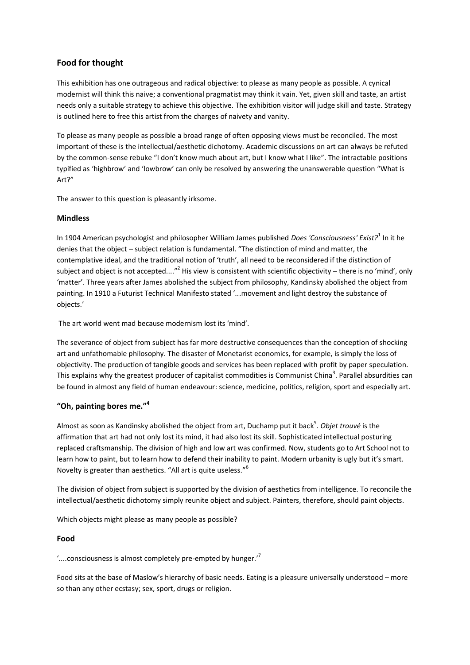# **Food for thought**

This exhibition has one outrageous and radical objective: to please as many people as possible. A cynical modernist will think this naive; a conventional pragmatist may think it vain. Yet, given skill and taste, an artist needs only a suitable strategy to achieve this objective. The exhibition visitor will judge skill and taste. Strategy is outlined here to free this artist from the charges of naivety and vanity.

To please as many people as possible a broad range of often opposing views must be reconciled. The most important of these is the intellectual/aesthetic dichotomy. Academic discussions on art can always be refuted by the common-sense rebuke "I don't know much about art, but I know what I like". The intractable positions typified as 'highbrow' and 'lowbrow' can only be resolved by answering the unanswerable question "What is Art?"

The answer to this question is pleasantly irksome.

#### **Mindless**

In 1904 American psychologist and philosopher William James published *Does 'Consciousness' Exist?*<sup>1</sup> In it he denies that the object – subject relation is fundamental. "The distinction of mind and matter, the contemplative ideal, and the traditional notion of 'truth', all need to be reconsidered if the distinction of subject and object is not accepted...."<sup>2</sup> His view is consistent with scientific objectivity – there is no 'mind', only 'matter'. Three years after James abolished the subject from philosophy, Kandinsky abolished the object from painting. In 1910 a Futurist Technical Manifesto stated '...movement and light destroy the substance of objects.'

The art world went mad because modernism lost its 'mind'.

The severance of object from subject has far more destructive consequences than the conception of shocking art and unfathomable philosophy. The disaster of Monetarist economics, for example, is simply the loss of objectivity. The production of tangible goods and services has been replaced with profit by paper speculation. This explains why the greatest producer of capitalist commodities is Communist China<sup>3</sup>. Parallel absurdities can be found in almost any field of human endeavour: science, medicine, politics, religion, sport and especially art.

# **"Oh, painting bores me."<sup>4</sup>**

Almost as soon as Kandinsky abolished the object from art, Duchamp put it back 5 . *Objet trouvé* is the affirmation that art had not only lost its mind, it had also lost its skill. Sophisticated intellectual posturing replaced craftsmanship. The division of high and low art was confirmed. Now, students go to Art School not to learn how to paint, but to learn how to defend their inability to paint. Modern urbanity is ugly but it's smart. Novelty is greater than aesthetics. "All art is quite useless."<sup>6</sup>

The division of object from subject is supported by the division of aesthetics from intelligence. To reconcile the intellectual/aesthetic dichotomy simply reunite object and subject. Painters, therefore, should paint objects.

Which objects might please as many people as possible?

# **Food**

'....consciousness is almost completely pre-empted by hunger.'<sup>7</sup>

Food sits at the base of Maslow's hierarchy of basic needs. Eating is a pleasure universally understood – more so than any other ecstasy; sex, sport, drugs or religion.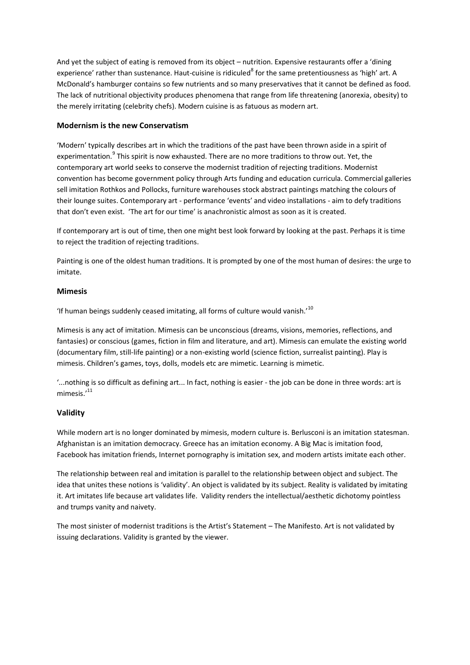And yet the subject of eating is removed from its object – nutrition. Expensive restaurants offer a 'dining experience' rather than sustenance. Haut-cuisine is ridiculed<sup>8</sup> for the same pretentiousness as 'high' art. A McDonald's hamburger contains so few nutrients and so many preservatives that it cannot be defined as food. The lack of nutritional objectivity produces phenomena that range from life threatening (anorexia, obesity) to the merely irritating (celebrity chefs). Modern cuisine is as fatuous as modern art.

# **Modernism is the new Conservatism**

'Modern' typically describes art in which the traditions of the past have been thrown aside in a spirit of experimentation.<sup>9</sup> This spirit is now exhausted. There are no more traditions to throw out. Yet, the contemporary art world seeks to conserve the modernist tradition of rejecting traditions. Modernist convention has become government policy through Arts funding and education curricula. Commercial galleries sell imitation Rothkos and Pollocks, furniture warehouses stock abstract paintings matching the colours of their lounge suites. Contemporary art - performance 'events' and video installations - aim to defy traditions that don't even exist. 'The art for our time' is anachronistic almost as soon as it is created.

If contemporary art is out of time, then one might best look forward by looking at the past. Perhaps it is time to reject the tradition of rejecting traditions.

Painting is one of the oldest human traditions. It is prompted by one of the most human of desires: the urge to imitate.

#### **Mimesis**

'If human beings suddenly ceased imitating, all forms of culture would vanish.' $^{10}$ 

Mimesis is any act of imitation. Mimesis can be unconscious (dreams, visions, memories, reflections, and fantasies) or conscious (games, fiction in film and literature, and art). Mimesis can emulate the existing world (documentary film, still-life painting) or a non-existing world (science fiction, surrealist painting). Play is mimesis. Children's games, toys, dolls, models etc are mimetic. Learning is mimetic.

'...nothing is so difficult as defining art... In fact, nothing is easier - the job can be done in three words: art is mimesis.'<sup>11</sup>

# **Validity**

While modern art is no longer dominated by mimesis, modern culture is. Berlusconi is an imitation statesman. Afghanistan is an imitation democracy. Greece has an imitation economy. A Big Mac is imitation food, Facebook has imitation friends, Internet pornography is imitation sex, and modern artists imitate each other.

The relationship between real and imitation is parallel to the relationship between object and subject. The idea that unites these notions is 'validity'. An object is validated by its subject. Reality is validated by imitating it. Art imitates life because art validates life. Validity renders the intellectual/aesthetic dichotomy pointless and trumps vanity and naivety.

The most sinister of modernist traditions is the Artist's Statement – The Manifesto. Art is not validated by issuing declarations. Validity is granted by the viewer.